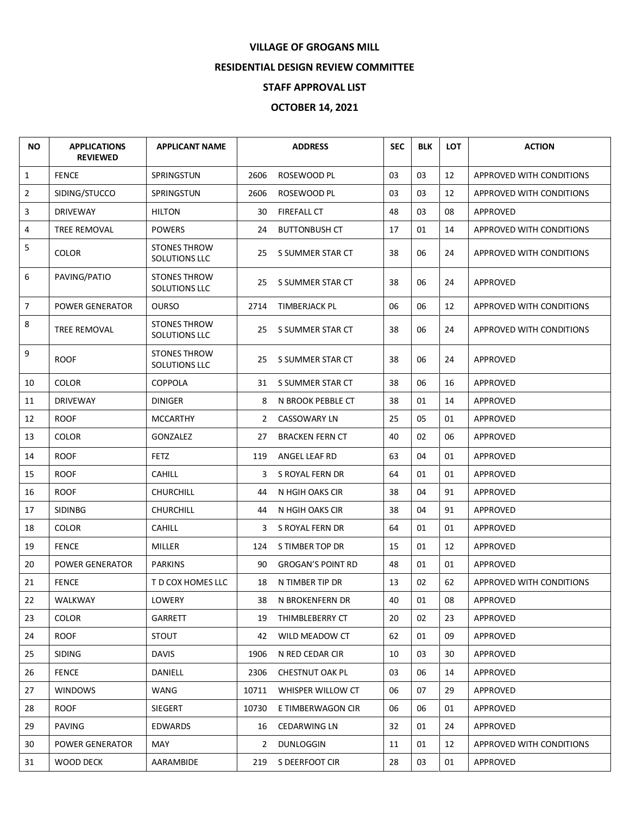## **VILLAGE OF GROGANS MILL**

## **RESIDENTIAL DESIGN REVIEW COMMITTEE**

## **STAFF APPROVAL LIST**

## **OCTOBER 14, 2021**

| <b>NO</b>      | <b>APPLICATIONS</b><br><b>REVIEWED</b> | <b>APPLICANT NAME</b>                |                | <b>ADDRESS</b>           | <b>SEC</b> | <b>BLK</b> | <b>LOT</b> | <b>ACTION</b>            |
|----------------|----------------------------------------|--------------------------------------|----------------|--------------------------|------------|------------|------------|--------------------------|
| $\mathbf{1}$   | <b>FENCE</b>                           | SPRINGSTUN                           | 2606           | ROSEWOOD PL              | 03         | 03         | 12         | APPROVED WITH CONDITIONS |
| $\overline{2}$ | SIDING/STUCCO                          | SPRINGSTUN                           | 2606           | ROSEWOOD PL              | 03         | 03         | 12         | APPROVED WITH CONDITIONS |
| 3              | <b>DRIVEWAY</b>                        | <b>HILTON</b>                        | 30             | FIREFALL CT              | 48         | 03         | 08         | APPROVED                 |
| 4              | TREE REMOVAL                           | <b>POWERS</b>                        | 24             | <b>BUTTONBUSH CT</b>     | 17         | 01         | 14         | APPROVED WITH CONDITIONS |
| 5              | <b>COLOR</b>                           | <b>STONES THROW</b><br>SOLUTIONS LLC | 25             | S SUMMER STAR CT         | 38         | 06         | 24         | APPROVED WITH CONDITIONS |
| 6              | PAVING/PATIO                           | <b>STONES THROW</b><br>SOLUTIONS LLC | 25             | S SUMMER STAR CT         | 38         | 06         | 24         | APPROVED                 |
| $\overline{7}$ | <b>POWER GENERATOR</b>                 | <b>OURSO</b>                         | 2714           | TIMBERJACK PL            | 06         | 06         | 12         | APPROVED WITH CONDITIONS |
| 8              | TREE REMOVAL                           | <b>STONES THROW</b><br>SOLUTIONS LLC | 25             | S SUMMER STAR CT         | 38         | 06         | 24         | APPROVED WITH CONDITIONS |
| 9              | <b>ROOF</b>                            | <b>STONES THROW</b><br>SOLUTIONS LLC | 25             | S SUMMER STAR CT         | 38         | 06         | 24         | APPROVED                 |
| 10             | <b>COLOR</b>                           | <b>COPPOLA</b>                       |                | 31 S SUMMER STAR CT      | 38         | 06         | 16         | APPROVED                 |
| 11             | <b>DRIVEWAY</b>                        | <b>DINIGER</b>                       | 8              | N BROOK PEBBLE CT        | 38         | 01         | 14         | APPROVED                 |
| 12             | <b>ROOF</b>                            | <b>MCCARTHY</b>                      | $\overline{2}$ | <b>CASSOWARY LN</b>      | 25         | 05         | 01         | APPROVED                 |
| 13             | <b>COLOR</b>                           | GONZALEZ                             | 27             | <b>BRACKEN FERN CT</b>   | 40         | 02         | 06         | APPROVED                 |
| 14             | <b>ROOF</b>                            | <b>FETZ</b>                          | 119            | ANGEL LEAF RD            | 63         | 04         | 01         | APPROVED                 |
| 15             | <b>ROOF</b>                            | <b>CAHILL</b>                        | 3              | S ROYAL FERN DR          | 64         | 01         | 01         | APPROVED                 |
| 16             | <b>ROOF</b>                            | <b>CHURCHILL</b>                     | 44             | N HGIH OAKS CIR          | 38         | 04         | 91         | APPROVED                 |
| 17             | <b>SIDINBG</b>                         | <b>CHURCHILL</b>                     | 44             | N HGIH OAKS CIR          | 38         | 04         | 91         | APPROVED                 |
| 18             | <b>COLOR</b>                           | <b>CAHILL</b>                        | 3              | S ROYAL FERN DR          | 64         | 01         | 01         | APPROVED                 |
| 19             | <b>FENCE</b>                           | <b>MILLER</b>                        | 124            | S TIMBER TOP DR          | 15         | 01         | 12         | APPROVED                 |
| 20             | <b>POWER GENERATOR</b>                 | <b>PARKINS</b>                       | 90             | <b>GROGAN'S POINT RD</b> | 48         | 01         | 01         | APPROVED                 |
| 21             | <b>FENCE</b>                           | T D COX HOMES LLC                    | 18             | N TIMBER TIP DR          | 13         | 02         | 62         | APPROVED WITH CONDITIONS |
| 22             | WALKWAY                                | LOWERY                               | 38             | N BROKENFERN DR          | 40         | 01         | 08         | APPROVED                 |
| 23             | <b>COLOR</b>                           | <b>GARRETT</b>                       | 19             | THIMBLEBERRY CT          | 20         | 02         | 23         | APPROVED                 |
| 24             | <b>ROOF</b>                            | <b>STOUT</b>                         | 42             | WILD MEADOW CT           | 62         | 01         | 09         | APPROVED                 |
| 25             | <b>SIDING</b>                          | DAVIS                                | 1906           | N RED CEDAR CIR          | 10         | 03         | 30         | APPROVED                 |
| 26             | <b>FENCE</b>                           | DANIELL                              | 2306           | <b>CHESTNUT OAK PL</b>   | 03         | 06         | 14         | APPROVED                 |
| 27             | <b>WINDOWS</b>                         | WANG                                 | 10711          | WHISPER WILLOW CT        | 06         | 07         | 29         | APPROVED                 |
| 28             | <b>ROOF</b>                            | SIEGERT                              | 10730          | E TIMBERWAGON CIR        | 06         | 06         | 01         | APPROVED                 |
| 29             | PAVING                                 | <b>EDWARDS</b>                       | 16             | <b>CEDARWING LN</b>      | 32         | 01         | 24         | APPROVED                 |
| 30             | POWER GENERATOR                        | MAY                                  | $2^{\circ}$    | <b>DUNLOGGIN</b>         | 11         | 01         | 12         | APPROVED WITH CONDITIONS |
| 31             | WOOD DECK                              | AARAMBIDE                            | 219            | S DEERFOOT CIR           | 28         | 03         | 01         | APPROVED                 |